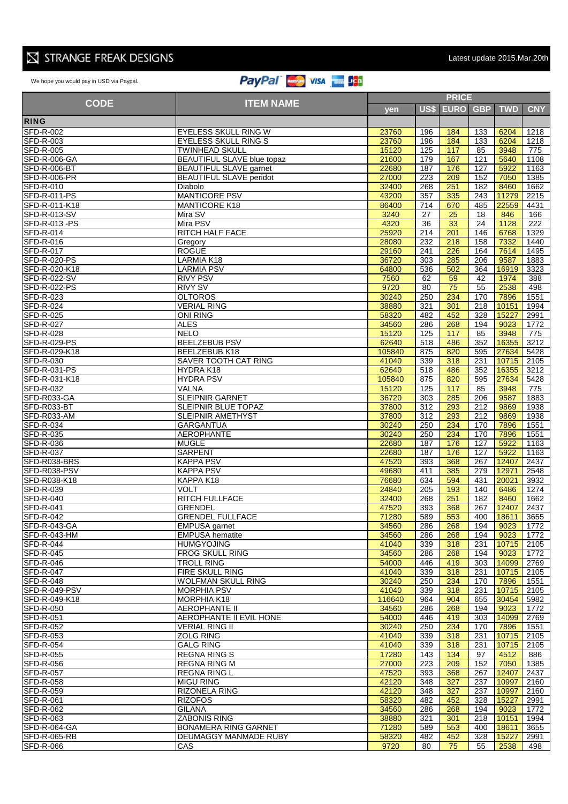## $\boxtimes$  STRANGE FREAK DESIGNS

## We hope you would pay in USD via Paypal. 121 129 178 3.83 19.5

|                                      |                                                      |                | <b>PRICE</b>     |             |            |                |                  |  |  |
|--------------------------------------|------------------------------------------------------|----------------|------------------|-------------|------------|----------------|------------------|--|--|
| <b>CODE</b>                          | <b>ITEM NAME</b>                                     | yen            | US\$             | <b>EURO</b> | <b>GBP</b> | <b>TWD</b>     | <b>CNY</b>       |  |  |
| <b>RING</b>                          |                                                      |                |                  |             |            |                |                  |  |  |
|                                      |                                                      |                |                  |             |            |                |                  |  |  |
| <b>SFD-R-002</b>                     | EYELESS SKULL RING W                                 | 23760          | 196              | 184         | 133        | 6204           | 1218             |  |  |
| <b>SFD-R-003</b><br><b>SFD-R-005</b> | <b>EYELESS SKULL RING S</b><br><b>TWINHEAD SKULL</b> | 23760<br>15120 | 196<br>125       | 184<br>117  | 133<br>85  | 6204<br>3948   | 1218<br>775      |  |  |
| SFD-R-006-GA                         | <b>BEAUTIFUL SLAVE blue topaz</b>                    | 21600          | 179              | 167         | 121        | 5640           | 1108             |  |  |
|                                      |                                                      |                | 187              | 176         | 127        | 5922           |                  |  |  |
| SFD-R-006-BT<br>SFD-R-006-PR         | BEAUTIFUL SLAVE garnet<br>BEAUTIFUL SLAVE peridot    | 22680<br>27000 | 223              | 209         | 152        | 7050           | 1163<br>1385     |  |  |
| SFD-R-010                            | Diabolo                                              | 32400          | 268              | 251         | 182        | 8460           | 1662             |  |  |
| SFD-R-011-PS                         | <b>MANTICORE PSV</b>                                 | 43200          | 357              | 335         | 243        | 11279          | 2215             |  |  |
| SFD-R-011-K18                        | <b>MANTICORE K18</b>                                 | 86400          | 714              | 670         | 485        | 22559          | 4431             |  |  |
| SFD-R-013-SV                         | Mira SV                                              | 3240           | 27               | 25          | 18         | 846            | 166              |  |  |
| SFD-R-013-PS                         | Mira PSV                                             | 4320           | 36               | 33          | 24         | 1128           | $\overline{222}$ |  |  |
| <b>SFD-R-014</b>                     | RITCH HALF FACE                                      | 25920          | 214              | 201         | 146        | 6768           | 1329             |  |  |
| SFD-R-016                            | Gregory                                              | 28080          | 232              | 218         | 158        | 7332           | 1440             |  |  |
| <b>SFD-R-017</b>                     | <b>ROGUE</b>                                         | 29160          | $\overline{241}$ | 226         | 164        | 7614           | 1495             |  |  |
| SFD-R-020-PS                         | LARMIA K18                                           | 36720          | 303              | 285         | 206        | 9587           | 1883             |  |  |
| SFD-R-020-K18                        | <b>LARMIA PSV</b>                                    | 64800          | 536              | 502         | 364        | 16919          | 3323             |  |  |
| SFD-R-022-SV                         | <b>RIVY PSV</b>                                      | 7560           | 62               | 59          | 42         | 1974           | 388              |  |  |
| SFD-R-022-PS                         | <b>RIVY SV</b>                                       | 9720           | 80               | 75          | 55         | 2538           | 498              |  |  |
| SFD-R-023                            | <b>OLTOROS</b>                                       | 30240          | 250              | 234         | 170        | 7896           | 1551             |  |  |
| SFD-R-024                            | <b>VERIAL RING</b>                                   | 38880          | 321              | 301         | 218        | 10151          | 1994             |  |  |
| <b>SFD-R-025</b>                     | <b>ONI RING</b>                                      | 58320          | 482              | 452         | 328        | 15227          | 2991             |  |  |
| <b>SFD-R-027</b>                     | <b>ALES</b>                                          | 34560          | 286              | 268         | 194        | 9023           | 1772             |  |  |
| <b>SFD-R-028</b>                     | <b>NELO</b>                                          | 15120          | 125              | 117         | 85         | 3948           | 775              |  |  |
| SFD-R-029-PS                         | <b>BEELZEBUB PSV</b>                                 | 62640          | 518              | 486         | 352        | 16355          | 3212             |  |  |
| SFD-R-029-K18                        | BEELZEBUB K18                                        | 105840         | 875              | 820         | 595        | 27634          | 5428             |  |  |
| <b>SFD-R-030</b>                     | SAVER TOOTH CAT RING                                 | 41040          | 339              | 318         | 231        | 10715          | 2105             |  |  |
| SFD-R-031-PS                         | HYDRA K18                                            | 62640          | 518              | 486         | 352        | 16355          | 3212             |  |  |
| SFD-R-031-K18                        | <b>HYDRA PSV</b>                                     | 105840         | 875              | 820         | 595        | 27634          | 5428             |  |  |
| SFD-R-032                            | VALNA                                                | 15120          | 125              | 117         | 85         | 3948           | 775              |  |  |
| SFD-R033-GA                          | <b>SLEIPNIR GARNET</b>                               | 36720          | 303              | 285         | 206        | 9587           | 1883             |  |  |
| SFD-R033-BT                          | <b>SLEIPNIR BLUE TOPAZ</b>                           | 37800          | 312              | 293         | 212        | 9869           | 1938             |  |  |
| SFD-R033-AM                          | SLEIPNIR AMETHYST                                    | 37800          | 312              | 293         | 212        | 9869           | 1938             |  |  |
| SFD-R-034                            | <b>GARGANTUA</b>                                     | 30240          | 250              | 234         | 170        | 7896           | 1551             |  |  |
| SFD-R-035                            | <b>AEROPHANTE</b>                                    | 30240          | 250              | 234         | 170        | 7896           | 1551             |  |  |
| SFD-R-036                            | <b>MUGLE</b>                                         | 22680          | 187              | 176         | 127        | 5922           | 1163             |  |  |
| <b>SFD-R-037</b>                     | <b>SARPENT</b>                                       | 22680          | 187              | 176         | 127        | 5922           | 1163             |  |  |
| SFD-R038-BRS                         | <b>KAPPA PSV</b>                                     | 47520          | 393              | 368         | 267        | 12407          | 2437             |  |  |
| SFD-R038-PSV<br>SFD-R038-K18         | <b>KAPPA PSV</b><br>KAPPA K18                        | 49680<br>76680 | 411<br>634       | 385<br>594  | 279<br>431 | 12971<br>20021 | 2548<br>3932     |  |  |
| SFD-R-039                            | <b>VOLT</b>                                          | 24840          | 205              | 193         | 140        | 6486           | 1274             |  |  |
| <b>SFD-R-040</b>                     | <b>RITCH FULLFACE</b>                                | 32400          | 268              | 251         | 182        | 8460           | 1662             |  |  |
| <b>SFD-R-041</b>                     | <b>GRENDEL</b>                                       | 47520          | 393              | 368         | 267        | 12407          | 2437             |  |  |
| <b>SFD-R-042</b>                     | <b>GRENDEL FULLFACE</b>                              | 71280          | 589              | 553         | 400        | 18611          | 3655             |  |  |
| SFD-R-043-GA                         | <b>EMPUSA</b> garnet                                 | 34560          | 286              | 268         | 194        | 9023           | 1772             |  |  |
| SFD-R-043-HM                         | <b>EMPUSA</b> hematite                               | 34560          | 286              | 268         | 194        | 9023           | 1772             |  |  |
| <b>SFD-R-044</b>                     | <b>HUMGYOJING</b>                                    | 41040          | 339              | 318         | 231        | 10715          | 2105             |  |  |
| <b>SFD-R-045</b>                     | <b>FROG SKULL RING</b>                               | 34560          | 286              | 268         | 194        | 9023           | 1772             |  |  |
| SFD-R-046                            | <b>TROLL RING</b>                                    | 54000          | 446              | 419         | 303        | 14099          | 2769             |  |  |
| <b>SFD-R-047</b>                     | FIRE SKULL RING                                      | 41040          | 339              | 318         | 231        | 10715          | 2105             |  |  |
| <b>SFD-R-048</b>                     | WOLFMAN SKULL RING                                   | 30240          | 250              | 234         | 170        | 7896           | 1551             |  |  |
| SFD-R-049-PSV                        | <b>MORPHIA PSV</b>                                   | 41040          | 339              | 318         | 231        | 10715          | 2105             |  |  |
| SFD-R-049-K18                        | MORPHIA K18                                          | 116640         | 964              | 904         | 655        | 30454          | 5982             |  |  |
| SFD-R-050                            | <b>AEROPHANTE II</b>                                 | 34560          | 286              | 268         | 194        | 9023           | 1772             |  |  |
| SFD-R-051                            | AEROPHANTE II EVIL HONE                              | 54000          | 446              | 419         | 303        | 14099          | 2769             |  |  |
| SFD-R-052                            | <b>VERIAL RING II</b>                                | 30240          | 250              | 234         | 170        | 7896           | 1551             |  |  |
| <b>SFD-R-053</b>                     | <b>ZOLG RING</b>                                     | 41040          | 339              | 318         | 231        | 10715          | 2105             |  |  |
| <b>SFD-R-054</b>                     | <b>GALG RING</b>                                     | 41040          | 339              | 318         | 231        | 10715          | 2105             |  |  |
| SFD-R-055                            | <b>REGNA RING S</b>                                  | 17280          | 143              | 134         | 97         | 4512           | 886              |  |  |
| SFD-R-056                            | <b>REGNA RING M</b>                                  | 27000          | 223              | 209         | 152        | 7050           | 1385             |  |  |
| SFD-R-057                            | REGNA RING L                                         | 47520          | 393              | 368         | 267        | 12407          | 2437             |  |  |
| <b>SFD-R-058</b>                     | <b>MIGU RING</b>                                     | 42120          | 348              | 327         | 237        | 10997          | 2160             |  |  |
| <b>SFD-R-059</b>                     | <b>RIZONELA RING</b>                                 | 42120          | 348              | 327         | 237        | 10997          | 2160             |  |  |
| <b>SFD-R-061</b><br><b>SFD-R-062</b> | <b>RIZOFOS</b><br><b>GILANA</b>                      | 58320          | 482              | 452         | 328        | 15227          | 2991             |  |  |
|                                      |                                                      | 34560          | 286              | 268         | 194        | 9023           | 1772             |  |  |
| SFD-R-063<br>SFD-R-064-GA            | ZABONIS RING<br><b>BONAMERA RING GARNET</b>          | 38880<br>71280 | 321<br>589       | 301<br>553  | 218<br>400 | 10151<br>18611 | 1994<br>3655     |  |  |
| SFD-R-065-RB                         | <b>DEUMAGGY MANMADE RUBY</b>                         | 58320          | 482              | 452         | 328        | 15227          | 2991             |  |  |
| <b>SFD-R-066</b>                     | CAS                                                  | 9720           | 80               | 75          | 55         | 2538           | 498              |  |  |
|                                      |                                                      |                |                  |             |            |                |                  |  |  |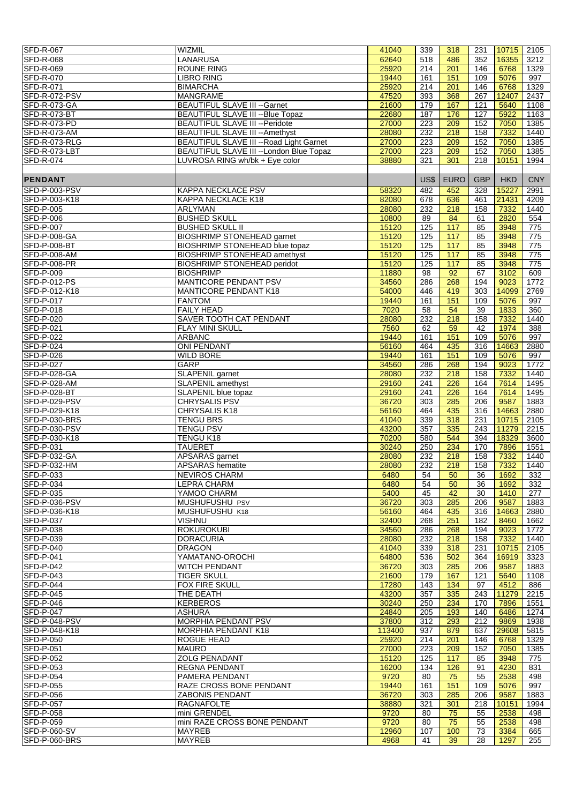| <b>SFD-R-067</b>    | <b>WIZMIL</b>                            | 41040  | 339  | 318               | 231        | $10715$ 2105 |                 |
|---------------------|------------------------------------------|--------|------|-------------------|------------|--------------|-----------------|
|                     |                                          |        |      |                   |            |              |                 |
| <b>SFD-R-068</b>    | <b>LANARUSA</b>                          | 62640  | 518  | 486               | 352        | 16355        | 3212            |
| <b>SFD-R-069</b>    | <b>ROUNE RING</b>                        | 25920  | 214  | 201               | 146        | 6768         | 1329            |
| <b>SFD-R-070</b>    | <b>LIBRO RING</b>                        | 19440  | 161  | 151               | 109        | 5076         | 997             |
| SFD-R-071           | <b>BIMARCHA</b>                          | 25920  | 214  | 201               | 146        | 6768         | 1329            |
| SFD-R-072-PSV       | <b>MANGRAME</b>                          | 47520  | 393  | 368               | 267        | 12407        | 2437            |
| SFD-R-073-GA        | <b>BEAUTIFUL SLAVE III -- Garnet</b>     | 21600  | 179  | 167               | 121        | 5640         | 1108            |
| SFD-R-073-BT        | <b>BEAUTIFUL SLAVE III -- Blue Topaz</b> | 22680  | 187  | 176               | 127        | 5922         | 1163            |
| SFD-R-073-PD        | <b>BEAUTIFUL SLAVE III -- Peridote</b>   | 27000  | 223  | 209               | 152        | 7050         | 1385            |
|                     |                                          |        |      |                   |            |              |                 |
| SFD-R-073-AM        | BEAUTIFUL SLAVE III -- Amethyst          | 28080  | 232  | 218               | 158        | 7332         | 1440            |
| SFD-R-073-RLG       | BEAUTIFUL SLAVE III -- Road Light Garnet | 27000  | 223  | 209               | 152        | 7050         | 1385            |
| SFD-R-073-LBT       | BEAUTIFUL SLAVE III -- London Blue Topaz | 27000  | 223  | 209               | 152        | 7050         | 1385            |
| SFD-R-074           | LUVROSA RING wh/bk + Eye color           | 38880  | 321  | 301               | 218        | 10151        | 1994            |
|                     |                                          |        |      |                   |            |              |                 |
| <b>PENDANT</b>      |                                          |        | US\$ | <b>EURO</b>       | <b>GBP</b> | <b>HKD</b>   | <b>CNY</b>      |
| SFD-P-003-PSV       |                                          |        |      |                   |            |              |                 |
|                     | <b>KAPPA NECKLACE PSV</b>                | 58320  | 482  | 452               | 328        | 15227        | 2991            |
| SFD-P-003-K18       | KAPPA NECKLACE K18                       | 82080  | 678  | 636               | 461        | 21431        | 4209            |
| SFD-P-005           | ARLYMAN                                  | 28080  | 232  | 218               | 158        | 7332         | 1440            |
| <b>SFD-P-006</b>    | <b>BUSHED SKULL</b>                      | 10800  | 89   | 84                | 61         | 2820         | 554             |
| <b>SFD-P-007</b>    | <b>BUSHED SKULL II</b>                   | 15120  | 125  | 117               | 85         | 3948         | 775             |
| SFD-P-008-GA        | <b>BIOSHRIMP STONEHEAD garnet</b>        | 15120  | 125  | 117               | 85         | 3948         | 775             |
| SFD-P-008-BT        | <b>BIOSHRIMP STONEHEAD blue topaz</b>    | 15120  | 125  | $\frac{117}{117}$ | 85         | 3948         | $\frac{1}{775}$ |
| <b>SFD-P-008-AM</b> | <b>BIOSHRIMP STONEHEAD amethyst</b>      | 15120  | 125  | 117               | 85         | 3948         | 775             |
|                     |                                          |        |      |                   |            |              |                 |
| SFD-P-008-PR        | <b>BIOSHRIMP STONEHEAD peridot</b>       | 15120  | 125  | $\frac{117}{117}$ | 85         | 3948         | 775             |
| <b>SFD-P-009</b>    | <b>BIOSHRIMP</b>                         | 11880  | 98   | 92                | 67         | 3102         | 609             |
| SFD-P-012-PS        | MANTICORE PENDANT PSV                    | 34560  | 286  | 268               | 194        | 9023         | 1772            |
| SFD-P-012-K18       | <b>MANTICORE PENDANT K18</b>             | 54000  | 446  | 419               | 303        | 14099        | 2769            |
| SFD-P-017           | <b>FANTOM</b>                            | 19440  | 161  | 151               | 109        | 5076         | 997             |
| SFD-P-018           | <b>FAILY HEAD</b>                        | 7020   | 58   | 54                | 39         | 1833         | 360             |
| SFD-P-020           | SAVER TOOTH CAT PENDANT                  | 28080  | 232  | 218               | 158        | 7332         | 1440            |
| <b>SFD-P-021</b>    | <b>FLAY MINI SKULL</b>                   | 7560   | 62   | 59                | 42         | 1974         | 388             |
|                     |                                          |        |      |                   |            |              |                 |
| <b>SFD-P-022</b>    | <b>ARBANC</b>                            | 19440  | 161  | 151               | 109        | 5076         | 997             |
| SFD-P-024           | <b>ONI PENDANT</b>                       | 56160  | 464  | 435               | 316        | 14663        | 2880            |
| <b>SFD-P-026</b>    | <b>WILD BORE</b>                         | 19440  | 161  | 151               | 109        | 5076         | 997             |
| <b>SFD-P-027</b>    | <b>GARP</b>                              | 34560  | 286  | 268               | 194        | 9023         | 1772            |
| SFD-P-028-GA        | <b>SLAPENIL</b> garnet                   | 28080  | 232  | 218               | 158        | 7332         | 1440            |
| SFD-P-028-AM        | <b>SLAPENIL amethyst</b>                 | 29160  | 241  | 226               | 164        | 7614         | 1495            |
| SFD-P-028-BT        | SLAPENIL blue topaz                      | 29160  | 241  | 226               | 164        | 7614         | 1495            |
| SFD-P-029-PSV       | <b>CHRYSALIS PSV</b>                     | 36720  | 303  | 285               | 206        | 9587         | 1883            |
| SFD-P-029-K18       | CHRYSALIS K18                            | 56160  | 464  | 435               | 316        | 14663        | 2880            |
|                     |                                          |        |      |                   |            |              |                 |
| SFD-P-030-BRS       | <b>TENGU BRS</b>                         | 41040  | 339  | 318               | 231        | 10715        | 2105            |
| SFD-P-030-PSV       | <b>TENGU PSV</b>                         | 43200  | 357  | 335               | 243        | 11279        | 2215            |
| SFD-P-030-K18       | <b>TENGU K18</b>                         | 70200  | 580  | 544               | 394        | 18329        | 3600            |
| SFD-P-031           | <b>TAUERET</b>                           | 30240  | 250  | 234               | 170        | 7896         | 1551            |
| SFD-P-032-GA        | APSARAS garnet                           | 28080  | 232  | 218               | 158        | 7332         | 1440            |
| SFD-P-032-HM        | <b>APSARAS</b> hematite                  | 28080  | 232  | 218               | 158        | 7332         | 1440            |
| SFD-P-033           | <b>NEVIROS CHARM</b>                     | 6480   | 54   | 50                | 36         | 1692         | 332             |
| SFD-P-034           | <b>LEPRA CHARM</b>                       | 6480   | 54   | 50                | 36         | 1692         | 332             |
| <b>SFD-P-035</b>    | YAMOO CHARM                              | 5400   | 45   | 42                | 30         | 1410         | 277             |
|                     |                                          |        |      |                   |            |              |                 |
| SFD-P-036-PSV       | MUSHUFUSHU PSV                           | 36720  | 303  | 285               | 206        | 9587         | 1883            |
| SFD-P-036-K18       | MUSHUFUSHU K18                           | 56160  | 464  | 435               | 316        | 14663        | 2880            |
| <b>SFD-P-037</b>    | <b>VISHNU</b>                            | 32400  | 268  | 251               | 182        | 8460         | 1662            |
| SFD-P-038           | <b>ROKUROKUBI</b>                        | 34560  | 286  | 268               | 194        | 9023         | 1772            |
| SFD-P-039           | <b>DORACURIA</b>                         | 28080  | 232  | 218               | 158        | 7332         | 1440            |
| SFD-P-040           | <b>DRAGON</b>                            | 41040  | 339  | 318               | 231        | 10715        | 2105            |
| <b>SFD-P-041</b>    | YAMATANO-OROCHI                          | 64800  | 536  | 502               | 364        | 16919        | 3323            |
| <b>SFD-P-042</b>    | <b>WITCH PENDANT</b>                     | 36720  | 303  | 285               | 206        | 9587         | 1883            |
| <b>SFD-P-043</b>    | <b>TIGER SKULL</b>                       | 21600  | 179  | 167               | 121        | 5640         |                 |
|                     |                                          |        |      |                   |            |              | 1108            |
| <b>SFD-P-044</b>    | <b>FOX FIRE SKULL</b>                    | 17280  | 143  | 134               | 97         | 4512         | 886             |
| SFD-P-045           | THE DEATH                                | 43200  | 357  | 335               | 243        | 11279        | 2215            |
| <b>SFD-P-046</b>    | <b>KERBEROS</b>                          | 30240  | 250  | 234               | 170        | 7896         | 1551            |
| <b>SFD-P-047</b>    | <b>ASHURA</b>                            | 24840  | 205  | 193               | 140        | 6486         | 1274            |
| SFD-P-048-PSV       | <b>MORPHIA PENDANT PSV</b>               | 37800  | 312  | 293               | 212        | 9869         | 1938            |
| SFD-P-048-K18       | <b>MORPHIA PENDANT K18</b>               | 113400 | 937  | 879               | 637        | 29608        | 5815            |
| SFD-P-050           | <b>ROGUE HEAD</b>                        | 25920  | 214  | 201               | 146        | 6768         | 1329            |
| SFD-P-051           | <b>MAURO</b>                             | 27000  | 223  | 209               | 152        | 7050         | 1385            |
| SFD-P-052           | <b>ZOLG PENADANT</b>                     | 15120  | 125  | 117               | 85         | 3948         | 775             |
|                     | <b>REGNA PENDANT</b>                     | 16200  |      |                   |            | 4230         |                 |
| SFD-P-053           |                                          |        | 134  | 126               | 91         |              | 831             |
| <b>SFD-P-054</b>    | <b>PAMERA PENDANT</b>                    | 9720   | 80   | 75                | 55         | 2538         | 498             |
| SFD-P-055           | RAZE CROSS BONE PENDANT                  | 19440  | 161  | 151               | 109        | 5076         | 997             |
| SFD-P-056           | <b>ZABONIS PENDANT</b>                   | 36720  | 303  | 285               | 206        | 9587         | 1883            |
| <b>SFD-P-057</b>    | <b>RAGNAFOLTE</b>                        | 38880  | 321  | 301               | 218        | 10151        | 1994            |
| <b>SFD-P-058</b>    | mini GRENDEL                             | 9720   | 80   | 75                | 55         | 2538         | 498             |
| SFD-P-059           | mini RAZE CROSS BONE PENDANT             | 9720   | 80   | 75                | 55         | 2538         | 498             |
| SFD-P-060-SV        | <b>MAYREB</b>                            | 12960  | 107  | 100               | 73         | 3384         | 665             |
| SFD-P-060-BRS       | <b>MAYREB</b>                            | 4968   | 41   | 39                | 28         | 1297         | 255             |
|                     |                                          |        |      |                   |            |              |                 |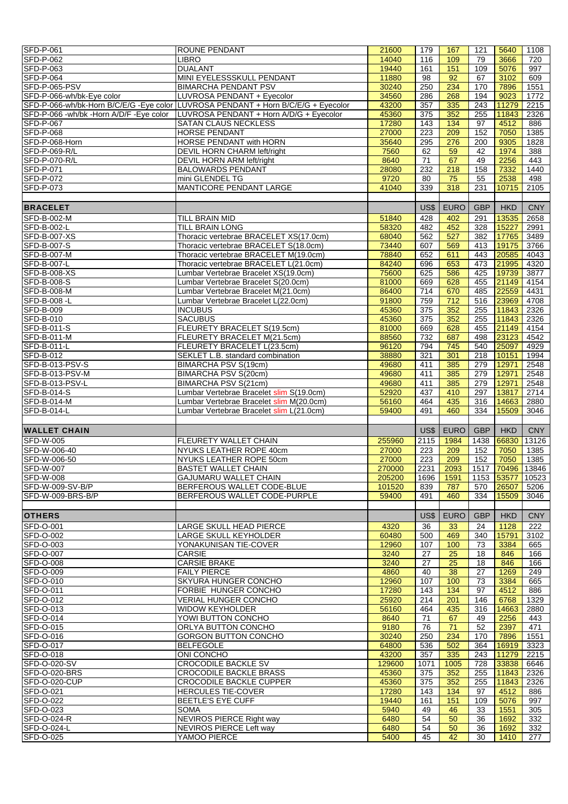| <b>SFD-P-061</b>                                                   | <b>ROUNE PENDANT</b>                                                              | 21600  | 179              | 167              | 121        | 5640             | 1108       |
|--------------------------------------------------------------------|-----------------------------------------------------------------------------------|--------|------------------|------------------|------------|------------------|------------|
| <b>SFD-P-062</b>                                                   | <b>LIBRO</b>                                                                      | 14040  | 116              | 109              | 79         | 3666             | 720        |
| <b>SFD-P-063</b>                                                   | <b>DUALANT</b>                                                                    | 19440  | 161              | 151              | 109        | 5076             | 997        |
|                                                                    |                                                                                   |        |                  |                  |            |                  |            |
| <b>SFD-P-064</b>                                                   | MINI EYELESSSKULL PENDANT                                                         | 11880  | $\overline{98}$  | 92               | 67         | 3102             | 609        |
| SFD-P-065-PSV                                                      | <b>BIMARCHA PENDANT PSV</b>                                                       | 30240  | 250              | 234              | 170        | 7896             | 1551       |
|                                                                    |                                                                                   |        |                  |                  | 194        |                  |            |
| SFD-P-066-wh/bk-Eye color                                          | LUVROSA PENDANT + Eyecolor                                                        | 34560  | 286              | 268              |            | 9023             | 1772       |
|                                                                    | SFD-P-066-wh/bk-Horn B/C/E/G -Eye color LUVROSA PENDANT + Horn B/C/E/G + Eyecolor | 43200  | 357              | 335              | 243        | 11279            | 2215       |
| SFD-P-066 -wh/bk -Horn A/D/F -Eye color                            | LUVROSA PENDANT + Horn A/D/G + Eyecolor                                           | 45360  | 375              | 352              | 255        | 11843            | 2326       |
|                                                                    |                                                                                   |        |                  |                  |            |                  |            |
| <b>SFD-P-067</b>                                                   | SATAN CLAUS NECKLESS                                                              | 17280  | 143              | $\overline{134}$ | 97         | 4512             | 886        |
| <b>SFD-P-068</b>                                                   | <b>HORSE PENDANT</b>                                                              | 27000  | 223              | 209              | 152        | 7050             | 1385       |
|                                                                    | <b>HORSE PENDANT with HORN</b>                                                    |        |                  | 276              |            |                  |            |
| SFD-P-068-Horn                                                     |                                                                                   | 35640  | 295              |                  | 200        | 9305             | 1828       |
| SFD-P-069-R/L                                                      | DEVIL HORN CHARM left/right                                                       | 7560   | 62               | 59               | 42         | 1974             | 388        |
| SFD-P-070-R/L                                                      | DEVIL HORN ARM left/right                                                         | 8640   | 71               | 67               | 49         | 2256             | 443        |
|                                                                    |                                                                                   |        |                  |                  |            |                  |            |
| <b>SFD-P-071</b>                                                   | <b>BALOWARDS PENDANT</b>                                                          | 28080  | 232              | 218              | 158        | 7332             | 1440       |
| SFD-P-072                                                          | mini GLENDEL TG                                                                   | 9720   | 80               | 75               | 55         | 2538             | 498        |
| SFD-P-073                                                          | <b>MANTICORE PENDANT LARGE</b>                                                    | 41040  | 339              | 318              | 231        | 10715            |            |
|                                                                    |                                                                                   |        |                  |                  |            |                  | 2105       |
|                                                                    |                                                                                   |        |                  |                  |            |                  |            |
| <b>BRACELET</b>                                                    |                                                                                   |        | US\$             | <b>EURO</b>      | <b>GBP</b> | <b>HKD</b>       | <b>CNY</b> |
|                                                                    |                                                                                   |        |                  |                  |            |                  |            |
| SFD-B-002-M                                                        | TILL BRAIN MID                                                                    | 51840  | 428              | 402              | 291        | 13535            | 2658       |
| <b>SFD-B-002-L</b>                                                 | <b>TILL BRAIN LONG</b>                                                            |        | 482              | 452              | 328        | 15227            | 2991       |
|                                                                    |                                                                                   | 58320  |                  |                  |            |                  |            |
| SFD-B-007-XS                                                       | Thoracic vertebrae BRACELET XS(17.0cm)                                            | 68040  | 562              | 527              | 382        | 17765            | 3489       |
| SFD-B-007-S                                                        | Thoracic vertebrae BRACELET S(18.0cm)                                             | 73440  | 607              | 569              | 413        | 19175            | 3766       |
|                                                                    |                                                                                   |        |                  |                  |            |                  |            |
| SFD-B-007-M                                                        | Thoracic vertebrae BRACELET M(19.0cm)                                             | 78840  | 652              | 611              | 443        | 20585            | 4043       |
| SFD-B-007-L                                                        | Thoracic vertebrae BRACELET L(21.0cm)                                             | 84240  | 696              | 653              | 473        | 21995            | 4320       |
|                                                                    | Lumbar Vertebrae Bracelet XS(19.0cm)                                              | 75600  | 625              | 586              | 425        |                  | 3877       |
| SFD-B-008-XS                                                       |                                                                                   |        |                  |                  |            | 19739            |            |
| <b>SFD-B-008-S</b>                                                 | Lumbar Vertebrae Bracelet S(20.0cm)                                               | 81000  | 669              | 628              | 455        | 21149            | 4154       |
| SFD-B-008-M                                                        | Lumbar Vertebrae Bracelet M(21.0cm)                                               | 86400  | 714              | 670              | 485        | 22559            | 4431       |
|                                                                    |                                                                                   |        |                  |                  |            |                  |            |
| SFD-B-008-L                                                        | Lumbar Vertebrae Bracelet L(22.0cm)                                               | 91800  | 759              | $\frac{1}{712}$  | 516        | 23969            | 4708       |
| <b>SFD-B-009</b>                                                   | <b>INCUBUS</b>                                                                    | 45360  | $\overline{375}$ | 352              | 255        | 11843            | 2326       |
|                                                                    |                                                                                   |        |                  |                  |            |                  |            |
| SFD-B-010                                                          | <b>SACUBUS</b>                                                                    | 45360  | 375              | 352              | 255        | 11843            | 2326       |
| SFD-B-011-S                                                        | FLEURETY BRACELET S(19.5cm)                                                       | 81000  | 669              | 628              | 455        | 21149            | 4154       |
| SFD-B-011-M                                                        | FLEURETY BRACELET M(21.5cm)                                                       | 88560  | 732              | 687              | 498        | 23123            | 4542       |
|                                                                    |                                                                                   |        |                  |                  |            |                  |            |
| SFD-B-011-L                                                        | FLEURETY BRACELET L(23.5cm)                                                       | 96120  | 794              | 745              | 540        | 25097            | 4929       |
| <b>SFD-B-012</b>                                                   | SEKLET L.B. standard combination                                                  | 38880  | 321              | 301              | 218        | 10151            | 1994       |
|                                                                    |                                                                                   |        |                  |                  |            |                  |            |
| SFD-B-013-PSV-S                                                    | BIMARCHA PSV S(19cm)                                                              | 49680  | 411              | 385              | 279        | 12971            | 2548       |
| SFD-B-013-PSV-M                                                    | <b>BIMARCHA PSV S(20cm)</b>                                                       | 49680  | 411              | 385              | 279        | 12971            | 2548       |
| SFD-B-013-PSV-L                                                    | BIMARCHA PSV S(21cm)                                                              | 49680  | 411              | 385              | 279        | 12971            | 2548       |
|                                                                    |                                                                                   |        |                  |                  |            |                  |            |
| SFD-B-014-S                                                        | Lumbar Vertebrae Bracelet slim S(19.0cm)                                          | 52920  | 437              | 410              | 297        | 13817            | 2714       |
| SFD-B-014-M                                                        | Lumbar Vertebrae Bracelet slim M(20.0cm)                                          | 56160  | 464              | 435              | 316        | 14663            | 2880       |
|                                                                    |                                                                                   |        |                  |                  |            |                  |            |
| SFD-B-014-L                                                        | Lumbar Vertebrae Bracelet slim L(21.0cm)                                          | 59400  | 491              | 460              | 334        | 15509            | 3046       |
|                                                                    |                                                                                   |        |                  |                  |            |                  |            |
| <b>WALLET CHAIN</b>                                                |                                                                                   |        | US\$             | <b>EURO</b>      | <b>GBP</b> | <b>HKD</b>       | <b>CNY</b> |
|                                                                    |                                                                                   |        |                  |                  |            |                  |            |
| <b>SFD-W-005</b>                                                   | FLEURETY WALLET CHAIN                                                             | 255960 | 2115             | 1984             | 1438       | 66830            | 13126      |
| SFD-W-006-40                                                       | NYUKS LEATHER ROPE 40cm                                                           | 27000  | 223              | 209              | 152        | 7050             | 1385       |
|                                                                    |                                                                                   |        |                  |                  |            |                  |            |
| SFD-W-006-50                                                       | NYUKS LEATHER ROPE 50cm                                                           | 27000  | 223              | 209              | 152        | 7050             | 1385       |
| <b>SFD-W-007</b>                                                   | <b>BASTET WALLET CHAIN</b>                                                        | 270000 | 2231             | 2093             |            | 1517 70496 13846 |            |
|                                                                    | <b>GAJUMARU WALLET CHAIN</b>                                                      |        |                  |                  |            |                  |            |
| SFD-W-008                                                          |                                                                                   | 205200 | 1696             | 1591             |            | 1153 53577 10523 |            |
| SFD-W-009-SV-B/P                                                   | BERFEROUS WALLET CODE-BLUE                                                        | 101520 |                  |                  |            |                  | 5206       |
| SFD-W-009-BRS-B/P                                                  | BERFEROUS WALLET CODE-PURPLE                                                      |        | 839              | 787              | 570        | 26507            |            |
|                                                                    |                                                                                   |        |                  |                  |            |                  |            |
|                                                                    |                                                                                   | 59400  | 491              | 460              | 334        | 15509            | 3046       |
|                                                                    |                                                                                   |        |                  |                  |            |                  |            |
|                                                                    |                                                                                   |        |                  |                  |            |                  |            |
| <b>OTHERS</b>                                                      |                                                                                   |        | US\$             | <b>EURO</b>      | <b>GBP</b> | <b>HKD</b>       | <b>CNY</b> |
|                                                                    | LARGE SKULL HEAD PIERCE                                                           | 4320   | 36               | 33               | 24         | 1128             | 222        |
| <b>SFD-O-001</b><br>SFD-O-002                                      |                                                                                   | 60480  | 500              | 469              | 340        | 15791            | 3102       |
|                                                                    | LARGE SKULL KEYHOLDER                                                             |        |                  |                  |            |                  |            |
|                                                                    | YONAKUNISAN TIE-COVER                                                             | 12960  | 107              | 100              | 73         | 3384             | 665        |
|                                                                    | CARSIE                                                                            | 3240   | 27               | 25               | 18         | 846              | 166        |
| <b>SFD-O-003</b><br><b>SFD-O-007</b>                               | <b>CARSIE BRAKE</b>                                                               | 3240   | 27               | 25               | 18         | 846              | 166        |
| <b>SFD-O-008</b>                                                   |                                                                                   |        |                  |                  |            |                  |            |
| <b>SFD-O-009</b>                                                   | <b>FAILY PIERCE</b>                                                               | 4860   | 40               | 38               | 27         | 1269             | 249        |
| SFD-O-010                                                          | SKYURA HUNGER CONCHO                                                              | 12960  | 107              | 100              | 73         | 3384             | 665        |
|                                                                    |                                                                                   |        |                  |                  |            |                  |            |
| <b>SFD-O-011</b>                                                   | FORBIE HUNGER CONCHO                                                              | 17280  | 143              | 134              | 97         | 4512             | 886        |
| SFD-O-012                                                          | VERIAL HUNGER CONCHO                                                              | 25920  | 214              | 201              | 146        | 6768             | 1329       |
| SFD-O-013                                                          | <b>WIDOW KEYHOLDER</b>                                                            | 56160  | 464              | 435              | 316        | 14663            | 2880       |
|                                                                    |                                                                                   |        |                  |                  |            |                  |            |
| SFD-O-014                                                          | YOWI BUTTON CONCHO                                                                | 8640   | 71               | 67               | 49         | 2256             | 443        |
| SFD-O-015                                                          | ORLYA BUTTON CONCHO                                                               | 9180   | 76               | 71               | 52         | 2397             | 471        |
|                                                                    | <b>GORGON BUTTON CONCHO</b>                                                       | 30240  | 250              | 234              | 170        | 7896             | 1551       |
| SFD-O-016                                                          |                                                                                   |        |                  |                  |            |                  |            |
| SFD-O-017                                                          | <b>BELFEGOLE</b>                                                                  | 64800  | 536              | 502              | 364        | 16919            | 3323       |
| SFD-O-018                                                          | ONI CONCHO                                                                        | 43200  | 357              | 335              | 243        | 11279            | 2215       |
|                                                                    |                                                                                   |        |                  |                  |            |                  |            |
|                                                                    | <b>CROCODILE BACKLE SV</b>                                                        | 129600 | 1071             | 1005             | 728        | 33838            | 6646       |
|                                                                    | <b>CROCODILE BACKLE BRASS</b>                                                     | 45360  | 375              | 352              | 255        | 11843            | 2326       |
|                                                                    | <b>CROCODILE BACKLE CUPPER</b>                                                    | 45360  | 375              | 352              | 255        | 11843            | 2326       |
|                                                                    |                                                                                   |        |                  |                  |            |                  |            |
| SFD-O-020-SV<br>SFD-O-020-BRS<br>SFD-O-020-CUP<br><b>SFD-O-021</b> | HERCULES TIE-COVER                                                                | 17280  | 143              | 134              | 97         | 4512             | 886        |
|                                                                    | <b>BEETLE'S EYE CUFF</b>                                                          | 19440  | 161              | 151              | 109        | 5076             | 997        |
| SFD-O-022                                                          |                                                                                   |        |                  |                  |            |                  |            |
| SFD-O-023                                                          | <b>SOMA</b>                                                                       | 5940   | 49               | 46               | 33         | 1551             | 305        |
| SFD-O-024-R                                                        | NEVIROS PIERCE Right way                                                          | 6480   | 54               | 50               | 36         | 1692             | 332        |
| SFD-O-024-L                                                        | <b>NEVIROS PIERCE Left way</b>                                                    | 6480   | 54               | 50               | 36         | 1692             | 332        |
| <b>SFD-O-025</b>                                                   | YAMOO PIERCE                                                                      | 5400   | 45               | 42               | 30         | 1410             | 277        |